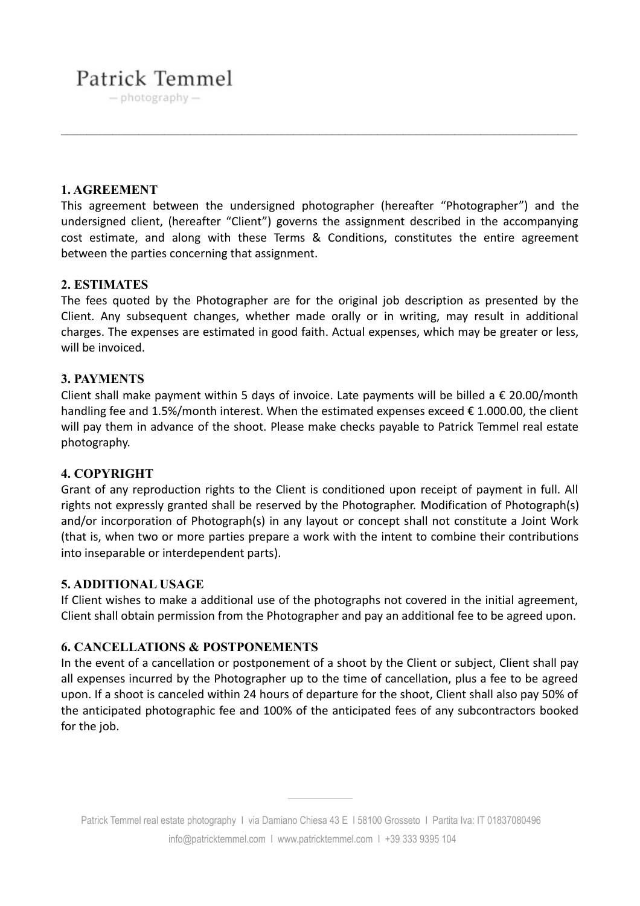# Patrick Temmel

 $-$  photography  $-$ 

# **1. AGREEMENT**

This agreement between the undersigned photographer (hereafter "Photographer") and the undersigned client, (hereafter "Client") governs the assignment described in the accompanying cost estimate, and along with these Terms & Conditions, constitutes the entire agreement between the parties concerning that assignment.

# **2. ESTIMATES**

The fees quoted by the Photographer are for the original job description as presented by the Client. Any subsequent changes, whether made orally or in writing, may result in additional charges. The expenses are estimated in good faith. Actual expenses, which may be greater or less, will be invoiced.

# **3. PAYMENTS**

Client shall make payment within 5 days of invoice. Late payments will be billed a  $\epsilon$  20.00/month handling fee and 1.5%/month interest. When the estimated expenses exceed  $\epsilon$  1.000.00, the client will pay them in advance of the shoot. Please make checks payable to Patrick Temmel real estate photography.

#### **4. COPYRIGHT**

Grant of any reproduction rights to the Client is conditioned upon receipt of payment in full. All rights not expressly granted shall be reserved by the Photographer. Modification of Photograph(s) and/or incorporation of Photograph(s) in any layout or concept shall not constitute a Joint Work (that is, when two or more parties prepare a work with the intent to combine their contributions into inseparable or interdependent parts).

#### **5. ADDITIONAL USAGE**

If Client wishes to make a additional use of the photographs not covered in the initial agreement, Client shall obtain permission from the Photographer and pay an additional fee to be agreed upon.

# **6. CANCELLATIONS & POSTPONEMENTS**

In the event of a cancellation or postponement of a shoot by the Client or subject, Client shall pay all expenses incurred by the Photographer up to the time of cancellation, plus a fee to be agreed upon. If a shoot is canceled within 24 hours of departure for the shoot, Client shall also pay 50% of the anticipated photographic fee and 100% of the anticipated fees of any subcontractors booked for the job.